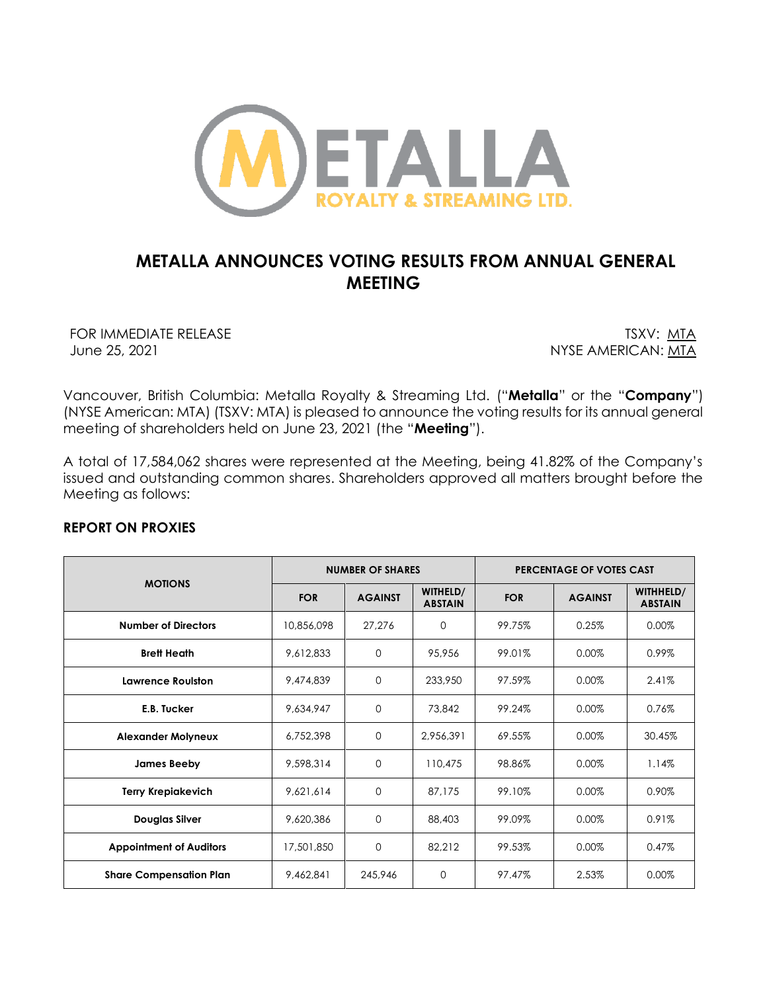

# **METALLA ANNOUNCES VOTING RESULTS FROM ANNUAL GENERAL MEETING**

FOR IMMEDIATE RELEASE THE SECOND SERVER TO THE SERVER THAT THE TOP OF THE TOP OF THE TSXV: [MTA](https://money.tmx.com/en/quote/MTA) June 25, 2021 **NATURA 2021** NYSE AMERICAN: [MTA](https://www.nyse.com/quote/XASE:MTA)

Vancouver, British Columbia: Metalla Royalty & Streaming Ltd. ("**Metalla**" or the "**Company**") (NYSE American: MTA) (TSXV: MTA) is pleased to announce the voting results for its annual general meeting of shareholders held on June 23, 2021 (the "**Meeting**").

A total of 17,584,062 shares were represented at the Meeting, being 41.82% of the Company's issued and outstanding common shares. Shareholders approved all matters brought before the Meeting as follows:

# **REPORT ON PROXIES**

| <b>MOTIONS</b>                 | <b>NUMBER OF SHARES</b> |                |                            | PERCENTAGE OF VOTES CAST |                |                             |
|--------------------------------|-------------------------|----------------|----------------------------|--------------------------|----------------|-----------------------------|
|                                | <b>FOR</b>              | <b>AGAINST</b> | WITHELD/<br><b>ABSTAIN</b> | <b>FOR</b>               | <b>AGAINST</b> | WITHHELD/<br><b>ABSTAIN</b> |
| <b>Number of Directors</b>     | 10,856,098              | 27,276         | 0                          | 99.75%                   | 0.25%          | 0.00%                       |
| <b>Brett Heath</b>             | 9,612,833               | $\mathbf{O}$   | 95,956                     | 99.01%                   | 0.00%          | 0.99%                       |
| <b>Lawrence Roulston</b>       | 9,474,839               | $\mathbf{O}$   | 233,950                    | 97.59%                   | 0.00%          | 2.41%                       |
| E.B. Tucker                    | 9,634,947               | $\mathbf 0$    | 73,842                     | 99.24%                   | 0.00%          | 0.76%                       |
| <b>Alexander Molyneux</b>      | 6,752,398               | $\mathbf{O}$   | 2,956,391                  | 69.55%                   | 0.00%          | 30.45%                      |
| James Beeby                    | 9,598,314               | $\mathbf{O}$   | 110,475                    | 98.86%                   | 0.00%          | 1.14%                       |
| <b>Terry Krepiakevich</b>      | 9,621,614               | $\mathbf 0$    | 87,175                     | 99.10%                   | 0.00%          | 0.90%                       |
| Douglas Silver                 | 9,620,386               | $\mathbf{O}$   | 88,403                     | 99.09%                   | 0.00%          | 0.91%                       |
| <b>Appointment of Auditors</b> | 17,501,850              | $\mathbf{O}$   | 82,212                     | 99.53%                   | 0.00%          | 0.47%                       |
| <b>Share Compensation Plan</b> | 9,462,841               | 245,946        | $\Omega$                   | 97.47%                   | 2.53%          | 0.00%                       |